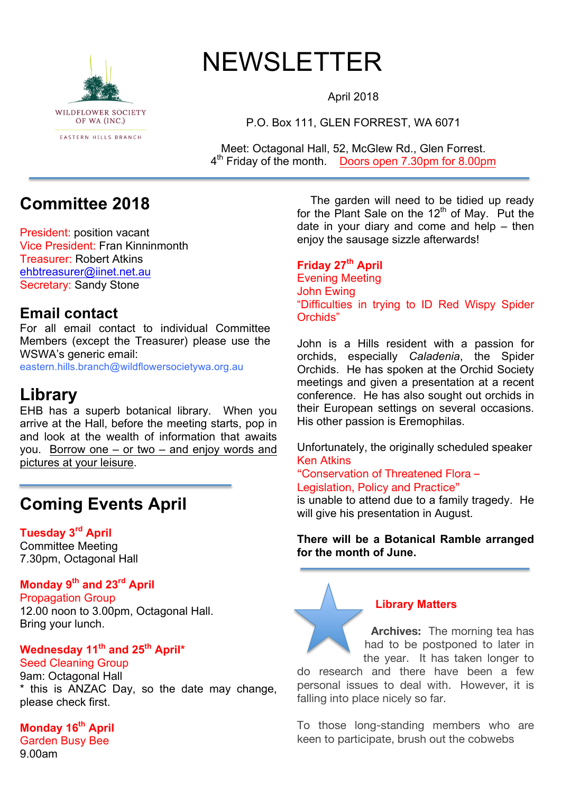

# NEWSLETTER

April 2018

P.O. Box 111, GLEN FORREST, WA 6071

Meet: Octagonal Hall, 52, McGlew Rd., Glen Forrest. 4th Friday of the month. Doors open 7.30pm for 8.00pm

## **Committee 2018**

President: position vacant Vice President: Fran Kinninmonth Treasurer: Robert Atkins ehbtreasurer@iinet.net.au Secretary: Sandy Stone

### **Email contact**

For all email contact to individual Committee Members (except the Treasurer) please use the WSWA's generic email:

eastern.hills.branch@wildflowersocietywa.org.au

## **Library**

EHB has a superb botanical library. When you arrive at the Hall, before the meeting starts, pop in and look at the wealth of information that awaits you. Borrow one – or two – and enjoy words and pictures at your leisure.

## **Coming Events April**

#### **Tuesday 3rd April**

Committee Meeting 7.30pm, Octagonal Hall

#### **Monday 9th and 23rd April**

Propagation Group 12.00 noon to 3.00pm, Octagonal Hall. Bring your lunch.

## **Wednesday 11th and 25th April\***

#### Seed Cleaning Group

9am: Octagonal Hall \* this is ANZAC Day, so the date may change, please check first.

### **Monday 16th April**

Garden Busy Bee 9.00am

The garden will need to be tidied up ready for the Plant Sale on the  $12<sup>th</sup>$  of May. Put the date in your diary and come and help – then enjoy the sausage sizzle afterwards!

**Friday 27th April** Evening Meeting John Ewing "Difficulties in trying to ID Red Wispy Spider Orchids"

John is a Hills resident with a passion for orchids, especially *Caladenia*, the Spider Orchids. He has spoken at the Orchid Society meetings and given a presentation at a recent conference. He has also sought out orchids in their European settings on several occasions. His other passion is Eremophilas.

Unfortunately, the originally scheduled speaker Ken Atkins

"Conservation of Threatened Flora – Legislation, Policy and Practice"

is unable to attend due to a family tragedy. He will give his presentation in August.

#### **There will be a Botanical Ramble arranged for the month of June.**

#### **Library Matters**

**Archives:** The morning tea has had to be postponed to later in the year. It has taken longer to

do research and there have been a few personal issues to deal with. However, it is falling into place nicely so far.

To those long-standing members who are keen to participate, brush out the cobwebs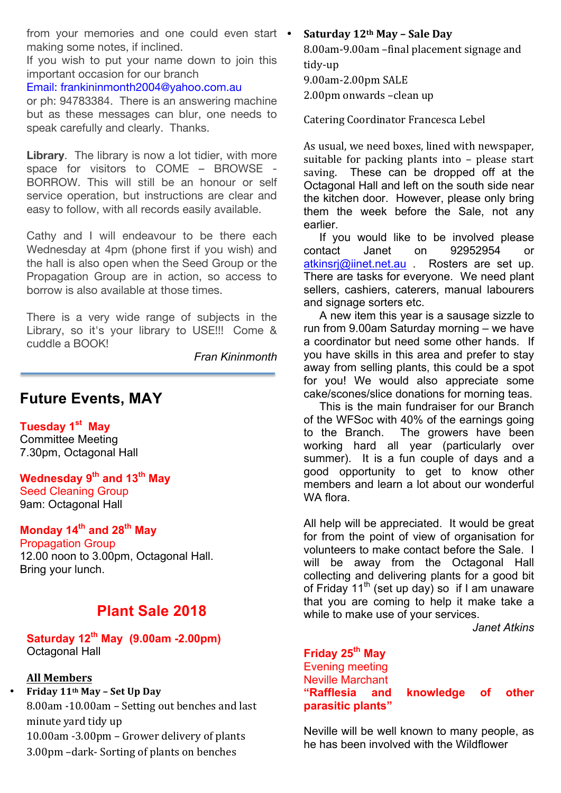from your memories and one could even start • making some notes, if inclined.

If you wish to put your name down to join this important occasion for our branch

#### Email: frankininmonth2004@yahoo.com.au

or ph: 94783384. There is an answering machine but as these messages can blur, one needs to speak carefully and clearly. Thanks.

**Library**. The library is now a lot tidier, with more space for visitors to COME – BROWSE - BORROW. This will still be an honour or self service operation, but instructions are clear and easy to follow, with all records easily available.

Cathy and I will endeavour to be there each Wednesday at 4pm (phone first if you wish) and the hall is also open when the Seed Group or the Propagation Group are in action, so access to borrow is also available at those times.

There is a very wide range of subjects in the Library, so it's your library to USE!!! Come & cuddle a BOOK!

*Fran Kininmonth*

#### **Future Events, MAY**

**Tuesday 1st May** Committee Meeting 7.30pm, Octagonal Hall

**Wednesday 9th and 13th May** Seed Cleaning Group 9am: Octagonal Hall

#### **Monday 14th and 28th May**

Propagation Group 12.00 noon to 3.00pm, Octagonal Hall. Bring your lunch.

#### **Plant Sale 2018**

#### **Saturday 12th May (9.00am -2.00pm)** Octagonal Hall

#### **All Members**

• Friday 11<sup>th</sup> May – Set Up Day  $8.00$ am -10.00am – Setting out benches and last minute yard tidy up 10.00am -3.00pm – Grower delivery of plants 3.00pm –dark- Sorting of plants on benches

• **Saturday#12th May#– Sale#Day**

8.00am-9.00am –final placement signage and tidy-up 9.00am-2.00pm SALE

2.00pm onwards -clean up

Catering Coordinator Francesca Lebel

As usual, we need boxes, lined with newspaper, suitable for packing plants into  $-$  please start saving. These can be dropped off at the Octagonal Hall and left on the south side near the kitchen door. However, please only bring them the week before the Sale, not any earlier.

 If you would like to be involved please contact Janet on 92952954 or atkinsrj@iinet.net.au . Rosters are set up. There are tasks for everyone. We need plant sellers, cashiers, caterers, manual labourers and signage sorters etc.

 A new item this year is a sausage sizzle to run from 9.00am Saturday morning – we have a coordinator but need some other hands. If you have skills in this area and prefer to stay away from selling plants, this could be a spot for you! We would also appreciate some cake/scones/slice donations for morning teas.

 This is the main fundraiser for our Branch of the WFSoc with 40% of the earnings going to the Branch. The growers have been working hard all year (particularly over summer). It is a fun couple of days and a good opportunity to get to know other members and learn a lot about our wonderful WA flora

All help will be appreciated. It would be great for from the point of view of organisation for volunteers to make contact before the Sale. I will be away from the Octagonal Hall collecting and delivering plants for a good bit of Friday 11<sup>th</sup> (set up day) so if I am unaware that you are coming to help it make take a while to make use of your services.

*Janet Atkins*

#### **Friday 25th May**

Evening meeting Neville Marchant **parasitic plants"**

**"Rafflesia and knowledge of other** 

Neville will be well known to many people, as he has been involved with the Wildflower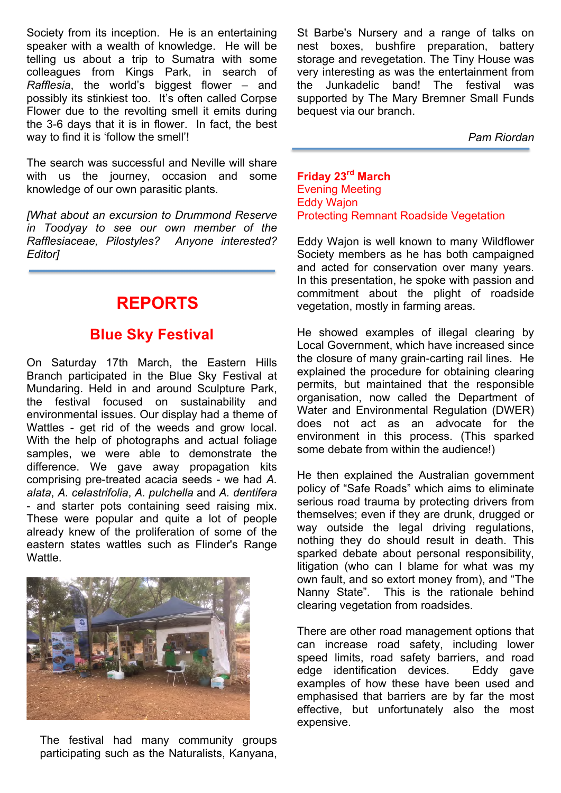Society from its inception. He is an entertaining speaker with a wealth of knowledge. He will be telling us about a trip to Sumatra with some colleagues from Kings Park, in search of *Rafflesia*, the world's biggest flower – and possibly its stinkiest too. It's often called Corpse Flower due to the revolting smell it emits during the 3-6 days that it is in flower. In fact, the best way to find it is 'follow the smell'!

The search was successful and Neville will share with us the journey, occasion and some knowledge of our own parasitic plants.

*[What about an excursion to Drummond Reserve in Toodyay to see our own member of the Rafflesiaceae, Pilostyles? Anyone interested? Editor]*

## **REPORTS**

#### **Blue Sky Festival**

On Saturday 17th March, the Eastern Hills Branch participated in the Blue Sky Festival at Mundaring. Held in and around Sculpture Park, the festival focused on sustainability and environmental issues. Our display had a theme of Wattles - get rid of the weeds and grow local. With the help of photographs and actual foliage samples, we were able to demonstrate the difference. We gave away propagation kits comprising pre-treated acacia seeds - we had *A. alata*, *A. celastrifolia*, *A. pulchella* and *A. dentifera* - and starter pots containing seed raising mix. These were popular and quite a lot of people already knew of the proliferation of some of the eastern states wattles such as Flinder's Range Wattle.



The festival had many community groups participating such as the Naturalists, Kanyana,

St Barbe's Nursery and a range of talks on nest boxes, bushfire preparation, battery storage and revegetation. The Tiny House was very interesting as was the entertainment from the Junkadelic band! The festival was supported by The Mary Bremner Small Funds bequest via our branch.

*Pam Riordan*

**Friday 23rd March** Evening Meeting Eddy Wajon Protecting Remnant Roadside Vegetation

Eddy Wajon is well known to many Wildflower Society members as he has both campaigned and acted for conservation over many years. In this presentation, he spoke with passion and commitment about the plight of roadside vegetation, mostly in farming areas.

He showed examples of illegal clearing by Local Government, which have increased since the closure of many grain-carting rail lines. He explained the procedure for obtaining clearing permits, but maintained that the responsible organisation, now called the Department of Water and Environmental Regulation (DWER) does not act as an advocate for the environment in this process. (This sparked some debate from within the audience!)

He then explained the Australian government policy of "Safe Roads" which aims to eliminate serious road trauma by protecting drivers from themselves; even if they are drunk, drugged or way outside the legal driving regulations, nothing they do should result in death. This sparked debate about personal responsibility, litigation (who can I blame for what was my own fault, and so extort money from), and "The Nanny State". This is the rationale behind clearing vegetation from roadsides.

There are other road management options that can increase road safety, including lower speed limits, road safety barriers, and road edge identification devices. Eddy gave examples of how these have been used and emphasised that barriers are by far the most effective, but unfortunately also the most expensive.